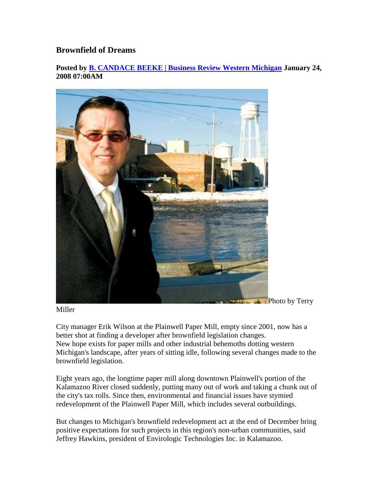## **Brownfield of Dreams**

**Posted by B. CANDACE BEEKE | Business Review Western Michigan January 24, 2008 07:00AM** 



**Photo by Terry** 

Miller

City manager Erik Wilson at the Plainwell Paper Mill, empty since 2001, now has a better shot at finding a developer after brownfield legislation changes. New hope exists for paper mills and other industrial behemoths dotting western Michigan's landscape, after years of sitting idle, following several changes made to the brownfield legislation.

Eight years ago, the longtime paper mill along downtown Plainwell's portion of the Kalamazoo River closed suddenly, putting many out of work and taking a chunk out of the city's tax rolls. Since then, environmental and financial issues have stymied redevelopment of the Plainwell Paper Mill, which includes several outbuildings.

But changes to Michigan's brownfield redevelopment act at the end of December bring positive expectations for such projects in this region's non-urban communities, said Jeffrey Hawkins, president of Envirologic Technologies Inc. in Kalamazoo.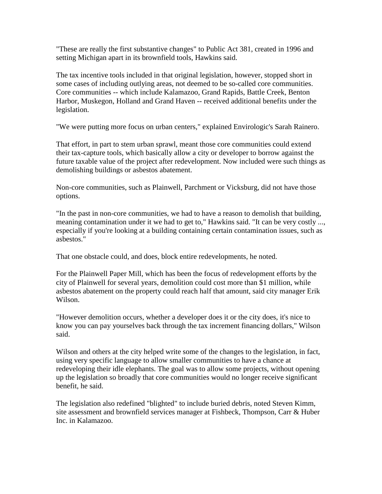"These are really the first substantive changes" to Public Act 381, created in 1996 and setting Michigan apart in its brownfield tools, Hawkins said.

The tax incentive tools included in that original legislation, however, stopped short in some cases of including outlying areas, not deemed to be so-called core communities. Core communities -- which include Kalamazoo, Grand Rapids, Battle Creek, Benton Harbor, Muskegon, Holland and Grand Haven -- received additional benefits under the legislation.

"We were putting more focus on urban centers," explained Envirologic's Sarah Rainero.

That effort, in part to stem urban sprawl, meant those core communities could extend their tax-capture tools, which basically allow a city or developer to borrow against the future taxable value of the project after redevelopment. Now included were such things as demolishing buildings or asbestos abatement.

Non-core communities, such as Plainwell, Parchment or Vicksburg, did not have those options.

"In the past in non-core communities, we had to have a reason to demolish that building, meaning contamination under it we had to get to," Hawkins said. "It can be very costly ..., especially if you're looking at a building containing certain contamination issues, such as asbestos."

That one obstacle could, and does, block entire redevelopments, he noted.

For the Plainwell Paper Mill, which has been the focus of redevelopment efforts by the city of Plainwell for several years, demolition could cost more than \$1 million, while asbestos abatement on the property could reach half that amount, said city manager Erik Wilson.

"However demolition occurs, whether a developer does it or the city does, it's nice to know you can pay yourselves back through the tax increment financing dollars," Wilson said.

Wilson and others at the city helped write some of the changes to the legislation, in fact, using very specific language to allow smaller communities to have a chance at redeveloping their idle elephants. The goal was to allow some projects, without opening up the legislation so broadly that core communities would no longer receive significant benefit, he said.

The legislation also redefined "blighted" to include buried debris, noted Steven Kimm, site assessment and brownfield services manager at Fishbeck, Thompson, Carr & Huber Inc. in Kalamazoo.